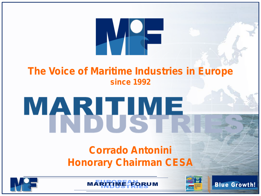

#### **The Voice of Maritime Industries in Europe since 1992**

# MARIJUE

## **Corrado Antonini Honorary Chairman CESA**

**ME-EORUM** 



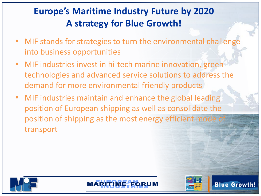- MIF stands for strategies to turn the environmental challenge into business opportunities
- MIF industries invest in hi-tech marine innovation, green technologies and advanced service solutions to address the demand for more environmental friendly products
- MIF industries maintain and enhance the global leading position of European shipping as well as consolidate the position of shipping as the most energy efficient mode transport





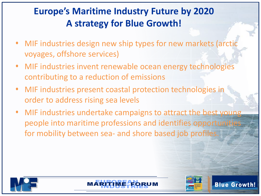- MIF industries design new ship types for new markets (arctic voyages, offshore services)
- MIF industries invent renewable ocean energy technologies contributing to a reduction of emissions
- MIF industries present coastal protection technologies in order to address rising sea levels
- MIF industries undertake campaigns to attract the best young people into maritime professions and identifies opportunities for mobility between sea- and shore based job profiles.





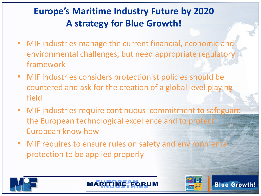- MIF industries manage the current financial, economic and environmental challenges, but need appropriate regulatory framework
- MIF industries considers protectionist policies should be countered and ask for the creation of a global level playing field
- MIF industries require continuous commitment to safeguard the European technological excellence and to protect European know how
- MIF requires to ensure rules on safety and environmental protection to be applied properly